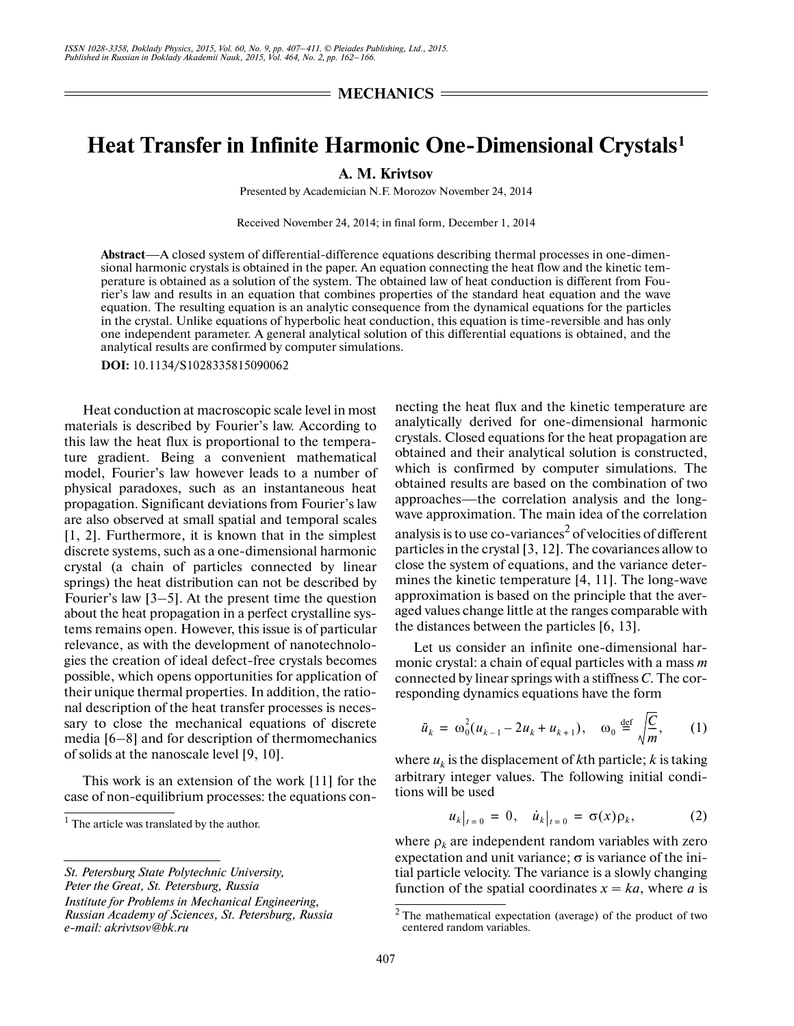## **Heat Transfer in Infinite Harmonic One-Dimensional Crystals1**

**A. M. Krivtsov**

Presented by Academician N.F. Morozov November 24, 2014

Received November 24, 2014; in final form, December 1, 2014

**Abstract**—A closed system of differential-difference equations describing thermal processes in one-dimen sional harmonic crystals is obtained in the paper. An equation connecting the heat flow and the kinetic tem perature is obtained as a solution of the system. The obtained law of heat conduction is different from Fou rier's law and results in an equation that combines properties of the standard heat equation and the wave equation. The resulting equation is an analytic consequence from the dynamical equations for the particles in the crystal. Unlike equations of hyperbolic heat conduction, this equation is time-reversible and has only one independent parameter. A general analytical solution of this differential equations is obtained, and the analytical results are confirmed by computer simulations.

**DOI:** 10.1134/S1028335815090062

Heat conduction at macroscopic scale level in most materials is described by Fourier's law. According to this law the heat flux is proportional to the tempera ture gradient. Being a convenient mathematical model, Fourier's law however leads to a number of physical paradoxes, such as an instantaneous heat propagation. Significant deviations from Fourier's law are also observed at small spatial and temporal scales [1, 2]. Furthermore, it is known that in the simplest discrete systems, such as a one-dimensional harmonic crystal (a chain of particles connected by linear springs) the heat distribution can not be described by Fourier's law [3–5]. At the present time the question about the heat propagation in a perfect crystalline sys tems remains open. However, this issue is of particular relevance, as with the development of nanotechnolo gies the creation of ideal defect-free crystals becomes possible, which opens opportunities for application of their unique thermal properties. In addition, the ratio nal description of the heat transfer processes is necessary to close the mechanical equations of discrete media [6–8] and for description of thermomechanics of solids at the nanoscale level [9, 10].

This work is an extension of the work [11] for the case of non-equilibrium processes: the equations con-

*St. Petersburg State Polytechnic University, Peter the Great, St. Petersburg, Russia Institute for Problems in Mechanical Engineering,* 

*Russian Academy of Sciences, St. Petersburg, Russia e-mail: akrivtsov@bk.ru*

necting the heat flux and the kinetic temperature are analytically derived for one-dimensional harmonic crystals. Closed equations for the heat propagation are obtained and their analytical solution is constructed, which is confirmed by computer simulations. The obtained results are based on the combination of two approaches—the correlation analysis and the long wave approximation. The main idea of the correlation analysis is to use co-variances $^2$  of velocities of different particles in the crystal [3, 12]. The covariances allow to close the system of equations, and the variance deter mines the kinetic temperature [4, 11]. The long-wave approximation is based on the principle that the aver aged values change little at the ranges comparable with the distances between the particles [6, 13].

Let us consider an infinite one-dimensional har monic crystal: a chain of equal particles with a mass *m* connected by linear springs with a stiffness *C*. The cor responding dynamics equations have the form

$$
\ddot{u}_k = \omega_0^2 (u_{k-1} - 2u_k + u_{k+1}), \quad \omega_0 \stackrel{\text{def}}{=} \sqrt{\frac{C}{m}}, \qquad (1)
$$

where  $u_k$  is the displacement of  $k$ th particle;  $k$  is taking arbitrary integer values. The following initial condi tions will be used

$$
u_k|_{t=0} = 0, \quad \dot{u}_k|_{t=0} = \sigma(x)\rho_k, \tag{2}
$$

where  $\rho_k$  are independent random variables with zero expectation and unit variance;  $\sigma$  is variance of the initial particle velocity. The variance is a slowly changing function of the spatial coordinates  $x = ka$ , where *a* is

 $<sup>1</sup>$  The article was translated by the author.</sup>

<sup>&</sup>lt;sup>2</sup> The mathematical expectation (average) of the product of two centered random variables.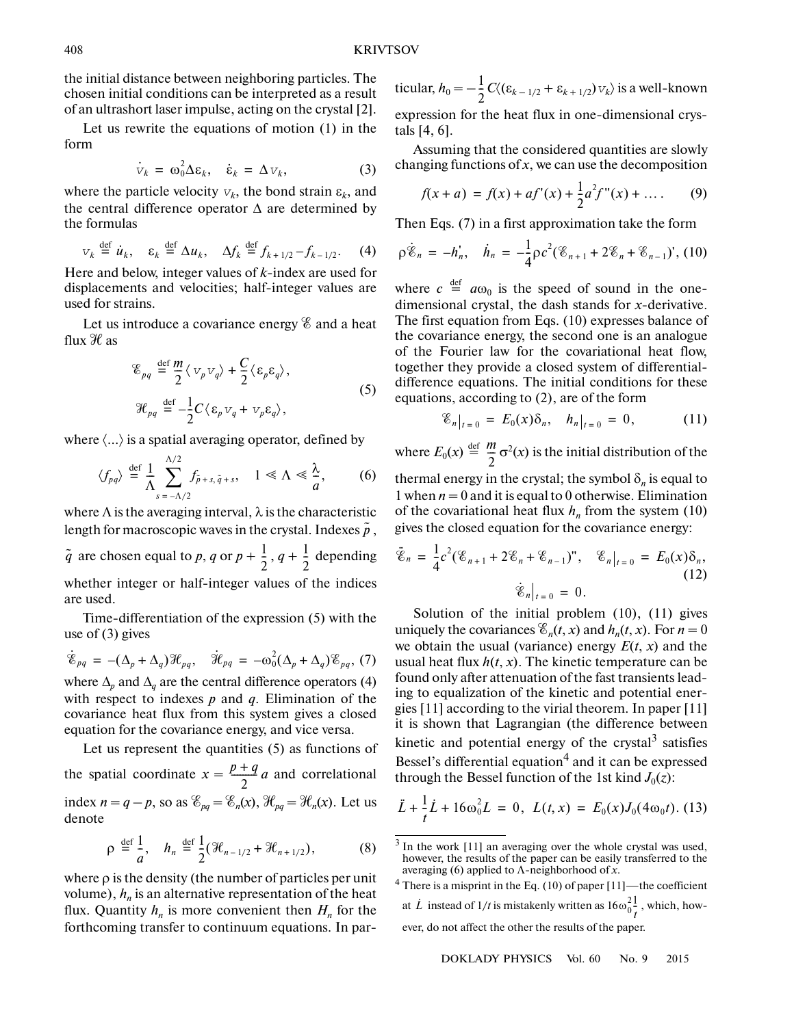the initial distance between neighboring particles. The chosen initial conditions can be interpreted as a result of an ultrashort laser impulse, acting on the crystal [2].

Let us rewrite the equations of motion (1) in the form

$$
\dot{\mathbf{v}}_k = \omega_0^2 \Delta \varepsilon_k, \quad \dot{\varepsilon}_k = \Delta \mathbf{v}_k, \tag{3}
$$

where the particle velocity  $v_k$ , the bond strain  $\varepsilon_k$ , and the central difference operator  $\Delta$  are determined by the formulas

$$
v_k \stackrel{\text{def}}{=} \dot{u}_k, \quad \varepsilon_k \stackrel{\text{def}}{=} \Delta u_k, \quad \Delta f_k \stackrel{\text{def}}{=} f_{k+1/2} - f_{k-1/2}. \tag{4}
$$

Here and below, integer values of *k*-index are used for displacements and velocities; half-integer values are used for strains.

Let us introduce a covariance energy  $\mathscr E$  and a heat flux  $\mathcal{H}$  as

$$
\mathcal{E}_{pq} \stackrel{\text{def}}{=} \frac{m}{2} \langle v_p v_q \rangle + \frac{C}{2} \langle \varepsilon_p \varepsilon_q \rangle,
$$
  

$$
\mathcal{H}_{pq} \stackrel{\text{def}}{=} -\frac{1}{2} C \langle \varepsilon_p v_q + v_p \varepsilon_q \rangle,
$$
 (5)

where  $\langle \ldots \rangle$  is a spatial averaging operator, defined by

$$
\langle f_{pq} \rangle \stackrel{\text{def}}{=} \frac{1}{\Lambda} \sum_{s=-\Lambda/2}^{\Lambda/2} f_{\tilde{p}+s, \tilde{q}+s}, \quad 1 \ll \Lambda \ll \frac{\lambda}{a}, \qquad (6)
$$

where  $\Lambda$  is the averaging interval,  $\lambda$  is the characteristic length for macroscopic waves in the crystal. Indexes  $\tilde{p}$  ,

 $\tilde{q}$  are chosen equal to *p*, *q* or  $p + \frac{1}{2}$ ,  $q + \frac{1}{2}$  depending whether integer or half-integer values of the indices are used.  $\frac{1}{2}$ 

Time-differentiation of the expression (5) with the use of (3) gives

$$
\dot{\mathcal{E}}_{pq} = -(\Delta_p + \Delta_q)\mathcal{H}_{pq}, \quad \dot{\mathcal{H}}_{pq} = -\omega_0^2(\Delta_p + \Delta_q)\mathcal{E}_{pq}, (7)
$$

where  $\Delta_p$  and  $\Delta_q$  are the central difference operators (4) with respect to indexes *р* and *q*. Elimination of the covariance heat flux from this system gives a closed equation for the covariance energy, and vice versa.

Let us represent the quantities (5) as functions of the spatial coordinate  $x = \frac{p+q}{2}a$  and correlational index  $n = q - p$ , so as  $\mathcal{E}_{pq} = \mathcal{E}_n(x)$ ,  $\mathcal{H}_{pq} = \mathcal{H}_n(x)$ . Let us denote

$$
\rho \stackrel{\text{def}}{=} \frac{1}{a}, \quad h_n \stackrel{\text{def}}{=} \frac{1}{2} (\mathcal{H}_{n-1/2} + \mathcal{H}_{n+1/2}), \tag{8}
$$

where  $\rho$  is the density (the number of particles per unit volume),  $h_n$  is an alternative representation of the heat flux. Quantity  $h_n$  is more convenient then  $H_n$  for the forthcoming transfer to continuum equations. In par-

ticular,  $h_0 = -\frac{1}{2} C \langle (\varepsilon_{k-1/2} + \varepsilon_{k+1/2}) v_k \rangle$  is a well-known expression for the heat flux in one-dimensional crys tals [4, 6].  $\frac{1}{2}$ 

Assuming that the considered quantities are slowly changing functions of *x*, we can use the decomposition

$$
f(x+a) = f(x) + af'(x) + \frac{1}{2}a^2 f''(x) + \dots
$$
 (9)

Then Eqs. (7) in a first approximation take the form

$$
\rho \dot{\mathscr{E}}_n = -h'_n, \quad \dot{h}_n = -\frac{1}{4} \rho c^2 (\mathscr{E}_{n+1} + 2\mathscr{E}_n + \mathscr{E}_{n-1})', \text{ (10)}
$$

where  $c \stackrel{\text{def}}{=} a\omega_0$  is the speed of sound in the onedimensional crystal, the dash stands for *х*-derivative. The first equation from Eqs. (10) expresses balance of the covariance energy, the second one is an analogue of the Fourier law for the covariational heat flow, together they provide a closed system of differential difference equations. The initial conditions for these equations, according to (2), are of the form

$$
\mathcal{E}_n|_{t=0} = E_0(x)\delta_n, \quad h_n|_{t=0} = 0, \tag{11}
$$

where  $E_0(x) \stackrel{\text{def}}{=} \frac{m}{2} \sigma^2(x)$  is the initial distribution of the  $\frac{m}{2}$ 

thermal energy in the crystal; the symbol  $\delta_n$  is equal to 1 when  $n = 0$  and it is equal to 0 otherwise. Elimination of the covariational heat flux  $h_n$  from the system (10) gives the closed equation for the covariance energy:

$$
\ddot{\mathscr{E}}_n = \frac{1}{4}c^2(\mathscr{E}_{n+1} + 2\mathscr{E}_n + \mathscr{E}_{n-1})^n, \quad \mathscr{E}_n|_{t=0} = E_0(x)\delta_n,
$$
\n
$$
\dot{\mathscr{E}}_n|_{t=0} = 0.
$$
\n(12)

Solution of the initial problem (10), (11) gives uniquely the covariances  $\mathcal{E}_n(t, x)$  and  $h_n(t, x)$ . For  $n = 0$ we obtain the usual (variance) energy  $E(t, x)$  and the usual heat flux  $h(t, x)$ . The kinetic temperature can be found only after attenuation of the fast transients lead ing to equalization of the kinetic and potential ener gies [11] according to the virial theorem. In paper [11] it is shown that Lagrangian (the difference between kinetic and potential energy of the crystal $3$  satisfies Bessel's differential equation<sup>4</sup> and it can be expressed through the Bessel function of the 1st kind  $J_0(z)$ :

$$
\ddot{L} + \frac{1}{t}\dot{L} + 16\omega_0^2 L = 0, \ L(t, x) = E_0(x)J_0(4\omega_0 t). \tag{13}
$$

<sup>4</sup> There is a misprint in the Eq. (10) of paper [11]—the coefficient at  $\dot{L}$  instead of 1/*t* is mistakenly written as  $16\omega_0^2\frac{1}{l}$ , which, however, do not affect the other the results of the paper. *t* -

 $3$  In the work [11] an averaging over the whole crystal was used, however, the results of the paper can be easily transferred to the averaging (6) applied to Λ-neighborhood of *x*.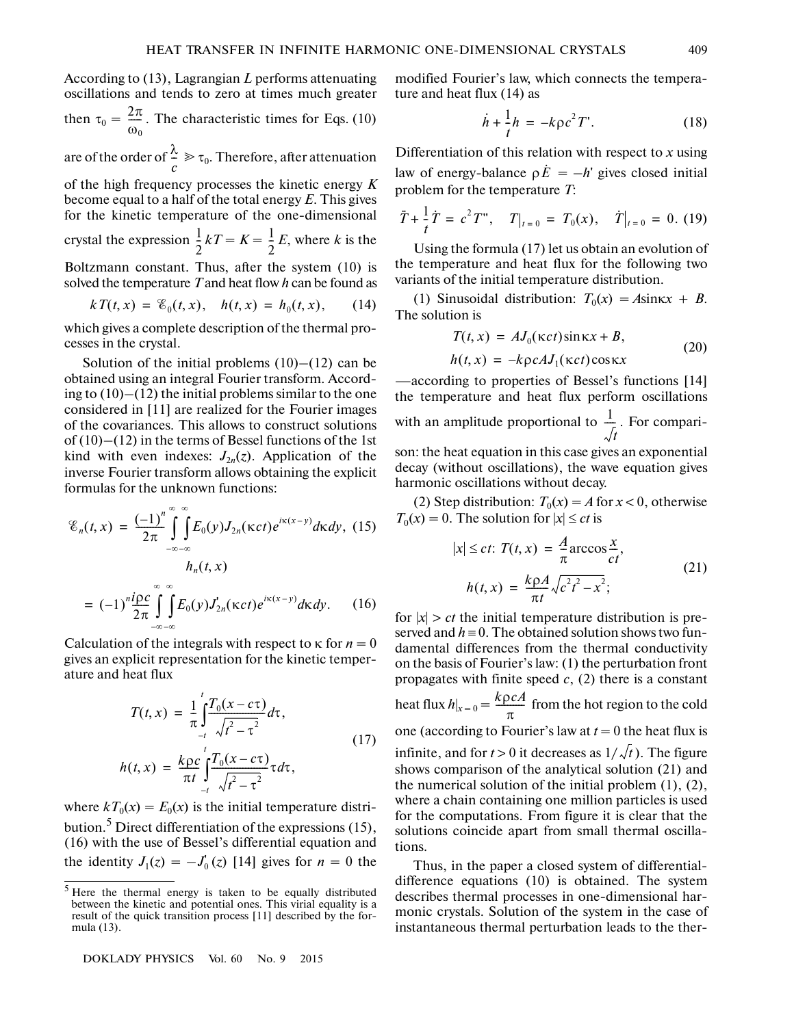According to (13), Lagrangian *L* performs attenuating oscillations and tends to zero at times much greater

then 
$$
\tau_0 = \frac{2\pi}{\omega_0}
$$
. The characteristic times for Eqs. (10)

are of the order of  $\frac{\lambda}{n} \geq \tau_0$ . Therefore, after attenuation *c*  $\tilde{=}$ 

of the high frequency processes the kinetic energy *K* become equal to a half of the total energy *Е*. This gives for the kinetic temperature of the one-dimensional

crystal the expression  $\frac{1}{2}kT = K = \frac{1}{2}E$ , where *k* is the  $\frac{1}{2}kT = K = \frac{1}{2}$  $\frac{1}{2}$ 

Boltzmann constant. Thus, after the system (10) is solved the temperature *Т* and heat flow *h* can be found as

$$
kT(t,x) = \mathcal{E}_0(t,x), \quad h(t,x) = h_0(t,x), \qquad (14)
$$

which gives a complete description of the thermal pro cesses in the crystal.

Solution of the initial problems  $(10)$ – $(12)$  can be obtained using an integral Fourier transform. Accord ing to  $(10)$ – $(12)$  the initial problems similar to the one considered in [11] are realized for the Fourier images of the covariances. This allows to construct solutions of  $(10)$ – $(12)$  in the terms of Bessel functions of the 1st kind with even indexes:  $J_{2n}(z)$ . Application of the inverse Fourier transform allows obtaining the explicit formulas for the unknown functions:

$$
\mathcal{E}_n(t, x) = \frac{(-1)^n}{2\pi} \int_{-\infty}^{\infty} \int_{-\infty}^{\infty} E_0(y) J_{2n}(\kappa ct) e^{i\kappa(x-y)} d\kappa dy, \quad (15)
$$

$$
h_n(t, x)
$$

$$
= (-1)^n \frac{i\rho c}{2\pi} \int_{-\infty}^{\infty} \int_{-\infty}^{\infty} E_0(y) J_{2n}(\kappa ct) e^{i\kappa(x-y)} d\kappa dy. \quad (16)
$$

Calculation of the integrals with respect to  $\kappa$  for  $n = 0$ gives an explicit representation for the kinetic temper ature and heat flux

$$
T(t, x) = \frac{1}{\pi} \int_{-t}^{t} \frac{T_0(x - c\tau)}{\sqrt{t^2 - \tau^2}} d\tau,
$$
  
\n
$$
h(t, x) = \frac{k\rho c}{\pi t} \int_{-t}^{t} \frac{T_0(x - c\tau)}{\sqrt{t^2 - \tau^2}} \tau d\tau,
$$
\n(17)

where  $kT_0(x) = E_0(x)$  is the initial temperature distribution.<sup>5</sup> Direct differentiation of the expressions (15), (16) with the use of Bessel's differential equation and the identity  $J_1(z) = -J_0'(z)$  [14] gives for  $n = 0$  the

modified Fourier's law, which connects the tempera ture and heat flux (14) as

$$
\dot{h} + \frac{1}{t}h = -k\rho c^2 T'.
$$
 (18)

Differentiation of this relation with respect to *x* using law of energy-balance  $\rho \dot{E} = -h'$  gives closed initial problem for the temperature *Т*:

$$
\ddot{T} + \frac{1}{t}\dot{T} = c^2 T'', \quad T|_{t=0} = T_0(x), \quad \dot{T}|_{t=0} = 0. \tag{19}
$$

Using the formula (17) let us obtain an evolution of the temperature and heat flux for the following two variants of the initial temperature distribution.

(1) Sinusoidal distribution:  $T_0(x) = A\sin kx + B$ . The solution is

$$
T(t, x) = AJ_0(\kappa ct)\sin\kappa x + B,
$$
  
\n
$$
h(t, x) = -k\rho cAJ_1(\kappa ct)\cos\kappa x
$$
\n(20)

—according to properties of Bessel's functions [14] the temperature and heat flux perform oscillations with an amplitude proportional to  $\frac{1}{\epsilon}$ . For compari*t*  $\frac{1}{\tau}$ 

son: the heat equation in this case gives an exponential decay (without oscillations), the wave equation gives harmonic oscillations without decay.

(2) Step distribution:  $T_0(x) = A$  for  $x < 0$ , otherwise  $T_0(x) = 0$ . The solution for  $|x| \le ct$  is

$$
|x| \le ct; T(t, x) = \frac{A}{\pi} \arccos \frac{x}{ct},
$$
  

$$
h(t, x) = \frac{k \rho A}{\pi t} \sqrt{c^2 t^2 - x^2};
$$
 (21)

for  $|x| > ct$  the initial temperature distribution is preserved and  $h = 0$ . The obtained solution shows two fundamental differences from the thermal conductivity on the basis of Fourier's law: (1) the perturbation front propagates with finite speed *с*, (2) there is a constant heat flux  $h|_{x=0} = \frac{k\rho cA}{\pi}$  from the hot region to the cold one (according to Fourier's law at  $t = 0$  the heat flux is infinite, and for  $t > 0$  it decreases as  $1/\sqrt{t}$ ). The figure shows comparison of the analytical solution (21) and the numerical solution of the initial problem (1), (2), where a chain containing one million particles is used for the computations. From figure it is clear that the solutions coincide apart from small thermal oscilla tions.

Thus, in the paper a closed system of differential difference equations (10) is obtained. The system describes thermal processes in one-dimensional har monic crystals. Solution of the system in the case of instantaneous thermal perturbation leads to the ther-

<sup>5</sup> Here the thermal energy is taken to be equally distributed between the kinetic and potential ones. This virial equality is a result of the quick transition process [11] described by the for mula (13).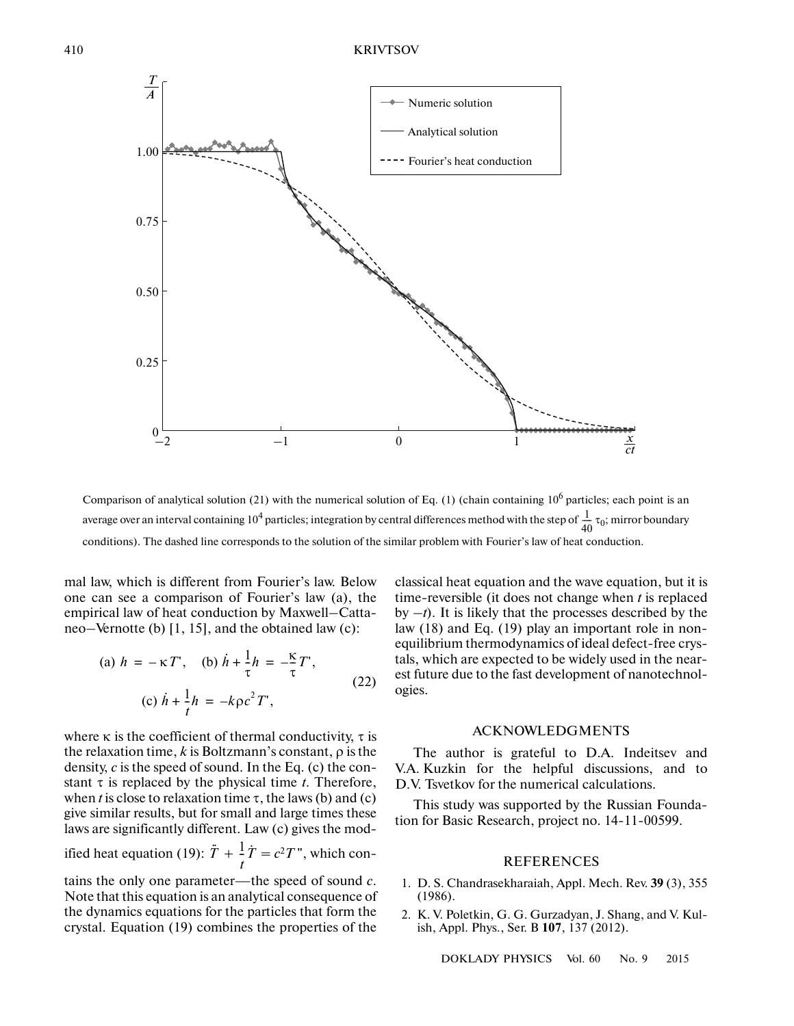

Comparison of analytical solution (21) with the numerical solution of Eq. (1) (chain containing  $10^6$  particles; each point is an average over an interval containing 10<sup>4</sup> particles; integration by central differences method with the step of  $\frac{1}{40} \tau_0$ ; mirror boundary conditions). The dashed line corresponds to the solution of the similar problem with Fourier's law of heat conduction.  $\frac{1}{40}$ 

mal law, which is different from Fourier's law. Below one can see a comparison of Fourier's law (a), the empirical law of heat conduction by Maxwell–Catta neo–Vernotte (b) [1, 15], and the obtained law (c):

(a) 
$$
h = -\kappa T'
$$
, (b)  $\dot{h} + \frac{1}{\tau} h = -\frac{\kappa}{\tau} T'$ ,  
(c)  $\dot{h} + \frac{1}{t} h = -k \rho c^2 T'$ , (22)

where  $\kappa$  is the coefficient of thermal conductivity,  $\tau$  is the relaxation time, *k* is Boltzmann's constant, ρ is the density, *c* is the speed of sound. In the Eq. (c) the con stant  $\tau$  is replaced by the physical time *t*. Therefore, when *t* is close to relaxation time  $\tau$ , the laws (b) and (c) give similar results, but for small and large times these laws are significantly different. Law (c) gives the mod-

ified heat equation (19):  $\ddot{T} + \frac{1}{r} \dot{T} = c^2 T$ ", which con*t*  $\frac{1}{\tau}$ 

tains the only one parameter—the speed of sound *c*. Note that this equation is an analytical consequence of the dynamics equations for the particles that form the crystal. Equation (19) combines the properties of the

classical heat equation and the wave equation, but it is time-reversible (it does not change when *t* is replaced by  $-t$ ). It is likely that the processes described by the law (18) and Eq. (19) play an important role in non equilibrium thermodynamics of ideal defect-free crys tals, which are expected to be widely used in the near est future due to the fast development of nanotechnol ogies.

## ACKNOWLEDGMENTS

The author is grateful to D.A. Indeitsev and V.A. Kuzkin for the helpful discussions, and to D.V. Tsvetkov for the numerical calculations.

This study was supported by the Russian Founda tion for Basic Research, project no. 14-11-00599.

## REFERENCES

- 1. D. S. Chandrasekharaiah, Appl. Mech. Rev. **39** (3), 355 (1986).
- 2. K. V. Poletkin, G. G. Gurzadyan, J. Shang, and V. Kul ish, Appl. Phys., Ser. B **107**, 137 (2012).

DOKLADY PHYSICS Vol. 60 No. 9 2015